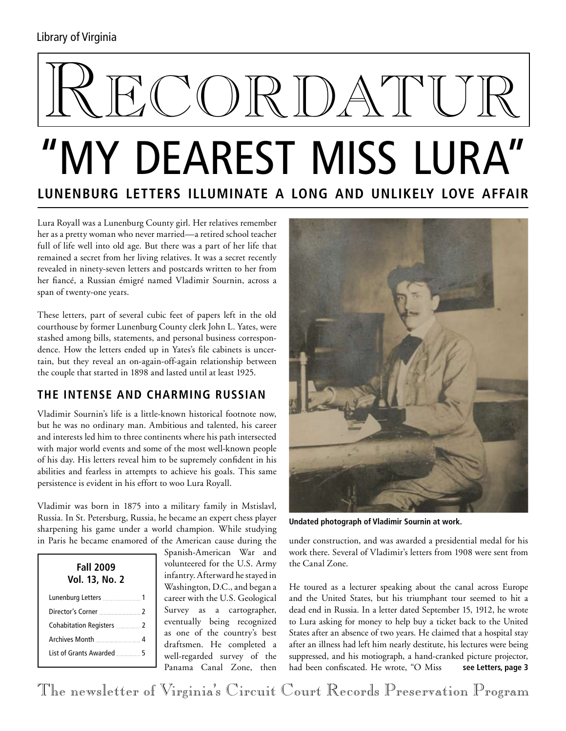### Library of Virginia

# KORDATU "My Dearest Miss Lura"

# **Lunenburg Letters Illuminate a Long and Unlikely Love Affair**

Lura Royall was a Lunenburg County girl. Her relatives remember her as a pretty woman who never married—a retired school teacher full of life well into old age. But there was a part of her life that remained a secret from her living relatives. It was a secret recently revealed in ninety-seven letters and postcards written to her from her fiancé, a Russian émigré named Vladimir Sournin, across a span of twenty-one years.

These letters, part of several cubic feet of papers left in the old courthouse by former Lunenburg County clerk John L. Yates, were stashed among bills, statements, and personal business correspondence. How the letters ended up in Yates's file cabinets is uncertain, but they reveal an on-again-off-again relationship between the couple that started in 1898 and lasted until at least 1925.

### **The Intense and Charming Russian**

Vladimir Sournin's life is a little-known historical footnote now, but he was no ordinary man. Ambitious and talented, his career and interests led him to three continents where his path intersected with major world events and some of the most well-known people of his day. His letters reveal him to be supremely confident in his abilities and fearless in attempts to achieve his goals. This same persistence is evident in his effort to woo Lura Royall.

Vladimir was born in 1875 into a military family in Mstislavl, Russia. In St. Petersburg, Russia, he became an expert chess player sharpening his game under a world champion. While studying in Paris he became enamored of the American cause during the

| Fall 2009<br><b>Vol. 13, No. 2</b>      |  |
|-----------------------------------------|--|
|                                         |  |
| Director's Corner 2                     |  |
| Cohabitation Registers <b>Manual</b> 2  |  |
|                                         |  |
| List of Grants Awarded <b>Markers</b> 5 |  |

Spanish-American War and volunteered for the U.S. Army infantry. Afterward he stayed in Washington, D.C., and began a career with the U.S. Geological Survey as a cartographer, eventually being recognized as one of the country's best draftsmen. He completed a well-regarded survey of the Panama Canal Zone, then



**Undated photograph of Vladimir Sournin at work.**

under construction, and was awarded a presidential medal for his work there. Several of Vladimir's letters from 1908 were sent from the Canal Zone.

He toured as a lecturer speaking about the canal across Europe and the United States, but his triumphant tour seemed to hit a dead end in Russia. In a letter dated September 15, 1912, he wrote to Lura asking for money to help buy a ticket back to the United States after an absence of two years. He claimed that a hospital stay after an illness had left him nearly destitute, his lectures were being suppressed, and his motiograph, a hand-cranked picture projector, had been confiscated. He wrote, "O Miss **see Letters, page 3**

The newsletter of Virginia's Circuit Court Records Preservation Program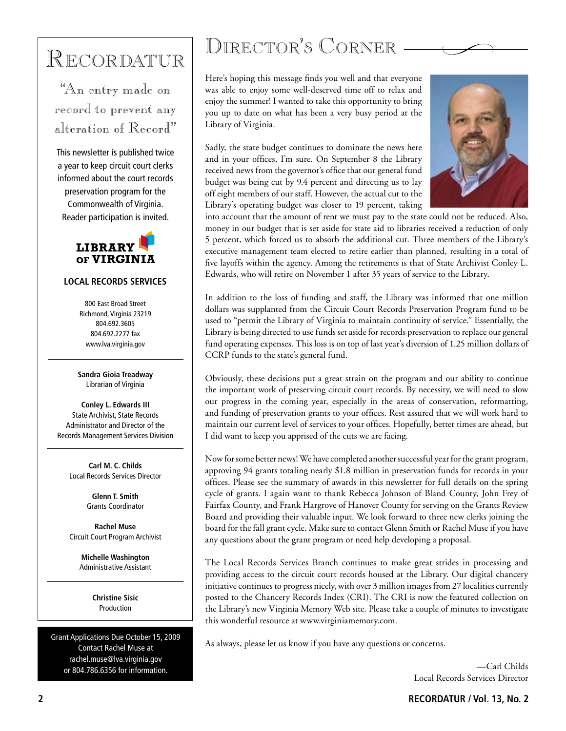## Recordatur

"An entry made on record to prevent any alteration of Record"

This newsletter is published twice a year to keep circuit court clerks informed about the court records preservation program for the Commonwealth of Virginia. Reader participation is invited.



#### **LOCAL RECORDS SERVICES**

800 East Broad Street Richmond, Virginia 23219 804.692.3605 804.692.2277 fax www.lva.virginia.gov

**Sandra Gioia Treadway** Librarian of Virginia

**Conley L. Edwards III** State Archivist, State Records Administrator and Director of the Records Management Services Division

> **Carl M. C. Childs** Local Records Services Director

> > **Glenn T. Smith** Grants Coordinator

**Rachel Muse** Circuit Court Program Archivist

**Michelle Washington** Administrative Assistant

> **Christine Sisic** Production

Grant Applications Due October 15, 2009 Contact Rachel Muse at rachel.muse@lva.virginia.gov or 804.786.6356 for information.

### DIRECTOR'S CORNER -

Here's hoping this message finds you well and that everyone was able to enjoy some well-deserved time off to relax and enjoy the summer! I wanted to take this opportunity to bring you up to date on what has been a very busy period at the Library of Virginia.

Sadly, the state budget continues to dominate the news here and in your offices, I'm sure. On September 8 the Library received news from the governor's office that our general fund budget was being cut by 9.4 percent and directing us to lay off eight members of our staff. However, the actual cut to the Library's operating budget was closer to 19 percent, taking



into account that the amount of rent we must pay to the state could not be reduced. Also, money in our budget that is set aside for state aid to libraries received a reduction of only 5 percent, which forced us to absorb the additional cut. Three members of the Library's executive management team elected to retire earlier than planned, resulting in a total of five layoffs within the agency. Among the retirements is that of State Archivist Conley L. Edwards, who will retire on November 1 after 35 years of service to the Library.

In addition to the loss of funding and staff, the Library was informed that one million dollars was supplanted from the Circuit Court Records Preservation Program fund to be used to "permit the Library of Virginia to maintain continuity of service." Essentially, the Library is being directed to use funds set aside for records preservation to replace our general fund operating expenses. This loss is on top of last year's diversion of 1.25 million dollars of CCRP funds to the state's general fund.

Obviously, these decisions put a great strain on the program and our ability to continue the important work of preserving circuit court records. By necessity, we will need to slow our progress in the coming year, especially in the areas of conservation, reformatting, and funding of preservation grants to your offices. Rest assured that we will work hard to maintain our current level of services to your offices. Hopefully, better times are ahead, but I did want to keep you apprised of the cuts we are facing.

Now for some better news! We have completed another successful year for the grant program, approving 94 grants totaling nearly \$1.8 million in preservation funds for records in your offices. Please see the summary of awards in this newsletter for full details on the spring cycle of grants. I again want to thank Rebecca Johnson of Bland County, John Frey of Fairfax County, and Frank Hargrove of Hanover County for serving on the Grants Review Board and providing their valuable input. We look forward to three new clerks joining the board for the fall grant cycle. Make sure to contact Glenn Smith or Rachel Muse if you have any questions about the grant program or need help developing a proposal.

The Local Records Services Branch continues to make great strides in processing and providing access to the circuit court records housed at the Library. Our digital chancery initiative continues to progress nicely, with over 3 million images from 27 localities currently posted to the Chancery Records Index (CRI). The CRI is now the featured collection on the Library's new Virginia Memory Web site. Please take a couple of minutes to investigate this wonderful resource at www.virginiamemory.com.

As always, please let us know if you have any questions or concerns.

—Carl Childs Local Records Services Director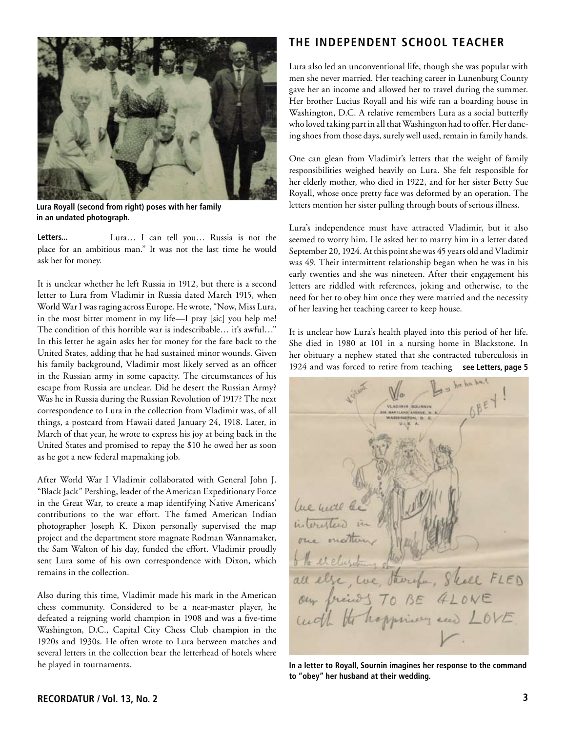

**Lura Royall (second from right) poses with her family in an undated photograph.**

**Letters...**  Lura… I can tell you… Russia is not the place for an ambitious man." It was not the last time he would ask her for money.

It is unclear whether he left Russia in 1912, but there is a second letter to Lura from Vladimir in Russia dated March 1915, when World War I was raging across Europe. He wrote, "Now, Miss Lura, in the most bitter moment in my life—I pray [sic] you help me! The condition of this horrible war is indescribable... it's awful..." In this letter he again asks her for money for the fare back to the United States, adding that he had sustained minor wounds. Given his family background, Vladimir most likely served as an officer in the Russian army in some capacity. The circumstances of his escape from Russia are unclear. Did he desert the Russian Army? Was he in Russia during the Russian Revolution of 1917? The next correspondence to Lura in the collection from Vladimir was, of all things, a postcard from Hawaii dated January 24, 1918. Later, in March of that year, he wrote to express his joy at being back in the United States and promised to repay the \$10 he owed her as soon as he got a new federal mapmaking job.

After World War I Vladimir collaborated with General John J. "Black Jack" Pershing, leader of the American Expeditionary Force in the Great War, to create a map identifying Native Americans' contributions to the war effort. The famed American Indian photographer Joseph K. Dixon personally supervised the map project and the department store magnate Rodman Wannamaker, the Sam Walton of his day, funded the effort. Vladimir proudly sent Lura some of his own correspondence with Dixon, which remains in the collection.

Also during this time, Vladimir made his mark in the American chess community. Considered to be a near-master player, he defeated a reigning world champion in 1908 and was a five-time Washington, D.C., Capital City Chess Club champion in the 1920s and 1930s. He often wrote to Lura between matches and several letters in the collection bear the letterhead of hotels where he played in tournaments.

### **The Independent School Teacher**

Lura also led an unconventional life, though she was popular with men she never married. Her teaching career in Lunenburg County gave her an income and allowed her to travel during the summer. Her brother Lucius Royall and his wife ran a boarding house in Washington, D.C. A relative remembers Lura as a social butterfly who loved taking part in all that Washington had to offer. Her dancing shoes from those days, surely well used, remain in family hands.

One can glean from Vladimir's letters that the weight of family responsibilities weighed heavily on Lura. She felt responsible for her elderly mother, who died in 1922, and for her sister Betty Sue Royall, whose once pretty face was deformed by an operation. The letters mention her sister pulling through bouts of serious illness.

Lura's independence must have attracted Vladimir, but it also seemed to worry him. He asked her to marry him in a letter dated September 20, 1924. At this point she was 45 years old and Vladimir was 49. Their intermittent relationship began when he was in his early twenties and she was nineteen. After their engagement his letters are riddled with references, joking and otherwise, to the need for her to obey him once they were married and the necessity of her leaving her teaching career to keep house.

1924 and was forced to retire from teaching see Letters, page 5 It is unclear how Lura's health played into this period of her life. She died in 1980 at 101 in a nursing home in Blackstone. In her obituary a nephew stated that she contracted tuberculosis in

Que mill be interesters in one outther el clusion all else, we, Harry , Shell FLED<br>aux freuds TO BE ALONE

**In a letter to Royall, Sournin imagines her response to the command to "obey" her husband at their wedding.**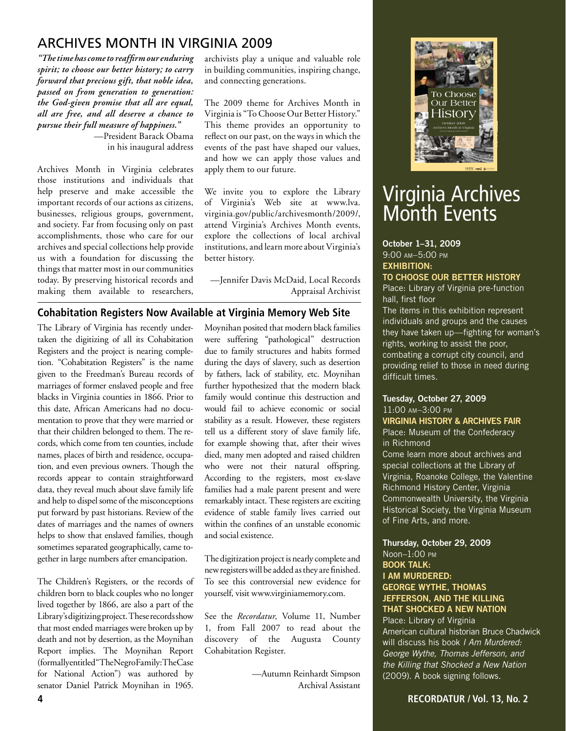### Archives Month in Virginia 2009

*"The time has come to reaffirm our enduring spirit; to choose our better history; to carry forward that precious gift, that noble idea, passed on from generation to generation: the God-given promise that all are equal, all are free, and all deserve a chance to pursue their full measure of happiness."* 

—President Barack Obama in his inaugural address

Archives Month in Virginia celebrates those institutions and individuals that help preserve and make accessible the important records of our actions as citizens, businesses, religious groups, government, and society. Far from focusing only on past accomplishments, those who care for our archives and special collections help provide us with a foundation for discussing the things that matter most in our communities today. By preserving historical records and making them available to researchers, archivists play a unique and valuable role in building communities, inspiring change, and connecting generations.

The 2009 theme for Archives Month in Virginia is "To Choose Our Better History." This theme provides an opportunity to reflect on our past, on the ways in which the events of the past have shaped our values, and how we can apply those values and apply them to our future.

We invite you to explore the Library of Virginia's Web site at www.lva. virginia.gov/public/archivesmonth/2009/, attend Virginia's Archives Month events, explore the collections of local archival institutions, and learn more about Virginia's better history.

—Jennifer Davis McDaid, Local Records Appraisal Archivist

### **Cohabitation Registers Now Available at Virginia Memory Web Site**

The Library of Virginia has recently undertaken the digitizing of all its Cohabitation Registers and the project is nearing completion. "Cohabitation Registers" is the name given to the Freedman's Bureau records of marriages of former enslaved people and free blacks in Virginia counties in 1866. Prior to this date, African Americans had no documentation to prove that they were married or that their children belonged to them. The records, which come from ten counties, include names, places of birth and residence, occupation, and even previous owners. Though the records appear to contain straightforward data, they reveal much about slave family life and help to dispel some of the misconceptions put forward by past historians. Review of the dates of marriages and the names of owners helps to show that enslaved families, though sometimes separated geographically, came together in large numbers after emancipation.

The Children's Registers, or the records of children born to black couples who no longer lived together by 1866, are also a part of the Library's digitizing project. These records show that most ended marriages were broken up by death and not by desertion, as the Moynihan Report implies. The Moynihan Report (formally entitled "The Negro Family: The Case for National Action") was authored by senator Daniel Patrick Moynihan in 1965.

Moynihan posited that modern black families were suffering "pathological" destruction due to family structures and habits formed during the days of slavery, such as desertion by fathers, lack of stability, etc. Moynihan further hypothesized that the modern black family would continue this destruction and would fail to achieve economic or social stability as a result. However, these registers tell us a different story of slave family life, for example showing that, after their wives died, many men adopted and raised children who were not their natural offspring. According to the registers, most ex-slave families had a male parent present and were remarkably intact. These registers are exciting evidence of stable family lives carried out within the confines of an unstable economic and social existence.

The digitization project is nearly complete and new registers will be added as they are finished. To see this controversial new evidence for yourself, visit www.virginiamemory.com.

See the *Recordatur,* Volume 11, Number 1, from Fall 2007 to read about the discovery of the Augusta County Cohabitation Register.

> —Autumn Reinhardt Simpson Archival Assistant



### Virginia Archives Month Events

#### October 1–31, 2009 9:00 am–5:00 pm Exhibition:

#### To Choose Our Better History

Place: Library of Virginia pre-function hall, first floor

The items in this exhibition represent individuals and groups and the causes they have taken up—fighting for woman's rights, working to assist the poor, combating a corrupt city council, and providing relief to those in need during difficult times.

### Tuesday, October 27, 2009 11:00 am–3:00 pm

Virginia History & Archives Fair Place: Museum of the Confederacy in Richmond

Come learn more about archives and special collections at the Library of Virginia, Roanoke College, the Valentine Richmond History Center, Virginia Commonwealth University, the Virginia Historical Society, the Virginia Museum of Fine Arts, and more.

### Thursday, October 29, 2009

#### Noon–1:00 pm Book Talk: I Am Murdered: George Wythe, Thomas Jefferson, and the Killing that Shocked a New Nation

Place: Library of Virginia American cultural historian Bruce Chadwick will discuss his book *I Am Murdered: George Wythe, Thomas Jefferson, and the Killing that Shocked a New Nation* (2009). A book signing follows.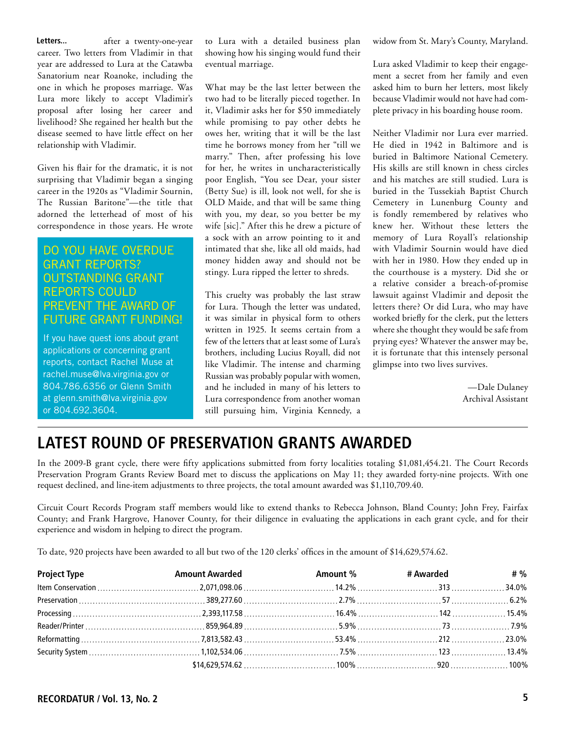**Letters...**  after a twenty-one-year career. Two letters from Vladimir in that year are addressed to Lura at the Catawba Sanatorium near Roanoke, including the one in which he proposes marriage. Was Lura more likely to accept Vladimir's proposal after losing her career and livelihood? She regained her health but the disease seemed to have little effect on her relationship with Vladimir.

Given his flair for the dramatic, it is not surprising that Vladimir began a singing career in the 1920s as "Vladimir Sournin, The Russian Baritone"—the title that adorned the letterhead of most of his correspondence in those years. He wrote

### Do you have overdue grant reports? Outstanding grant reports could prevent the award of future grant funding!

If you have quest ions about grant applications or concerning grant reports, contact Rachel Muse at rachel.muse@lva.virginia.gov or 804.786.6356 or Glenn Smith at glenn.smith@lva.virginia.gov or 804.692.3604.

to Lura with a detailed business plan showing how his singing would fund their eventual marriage.

What may be the last letter between the two had to be literally pieced together. In it, Vladimir asks her for \$50 immediately while promising to pay other debts he owes her, writing that it will be the last time he borrows money from her "till we marry." Then, after professing his love for her, he writes in uncharacteristically poor English, "You see Dear, your sister (Betty Sue) is ill, look not well, for she is OLD Maide, and that will be same thing with you, my dear, so you better be my wife [sic]." After this he drew a picture of a sock with an arrow pointing to it and intimated that she, like all old maids, had money hidden away and should not be stingy. Lura ripped the letter to shreds.

This cruelty was probably the last straw for Lura. Though the letter was undated, it was similar in physical form to others written in 1925. It seems certain from a few of the letters that at least some of Lura's brothers, including Lucius Royall, did not like Vladimir. The intense and charming Russian was probably popular with women, and he included in many of his letters to Lura correspondence from another woman still pursuing him, Virginia Kennedy, a widow from St. Mary's County, Maryland.

Lura asked Vladimir to keep their engagement a secret from her family and even asked him to burn her letters, most likely because Vladimir would not have had complete privacy in his boarding house room.

Neither Vladimir nor Lura ever married. He died in 1942 in Baltimore and is buried in Baltimore National Cemetery. His skills are still known in chess circles and his matches are still studied. Lura is buried in the Tussekiah Baptist Church Cemetery in Lunenburg County and is fondly remembered by relatives who knew her. Without these letters the memory of Lura Royall's relationship with Vladimir Sournin would have died with her in 1980. How they ended up in the courthouse is a mystery. Did she or a relative consider a breach-of-promise lawsuit against Vladimir and deposit the letters there? Or did Lura, who may have worked briefly for the clerk, put the letters where she thought they would be safe from prying eyes? Whatever the answer may be, it is fortunate that this intensely personal glimpse into two lives survives.

> —Dale Dulaney Archival Assistant

### **Latest Round of Preservation Grants Awarded**

In the 2009-B grant cycle, there were fifty applications submitted from forty localities totaling \$1,081,454.21. The Court Records Preservation Program Grants Review Board met to discuss the applications on May 11; they awarded forty-nine projects. With one request declined, and line-item adjustments to three projects, the total amount awarded was \$1,110,709.40.

Circuit Court Records Program staff members would like to extend thanks to Rebecca Johnson, Bland County; John Frey, Fairfax County; and Frank Hargrove, Hanover County, for their diligence in evaluating the applications in each grant cycle, and for their experience and wisdom in helping to direct the program.

To date, 920 projects have been awarded to all but two of the 120 clerks' offices in the amount of \$14,629,574.62.

| <b>Project Type</b> | Amount Awarded The Summary Amount % The Summary 4 % Awarded The # % |  |  |
|---------------------|---------------------------------------------------------------------|--|--|
|                     |                                                                     |  |  |
|                     |                                                                     |  |  |
|                     |                                                                     |  |  |
|                     |                                                                     |  |  |
|                     |                                                                     |  |  |
|                     |                                                                     |  |  |
|                     |                                                                     |  |  |